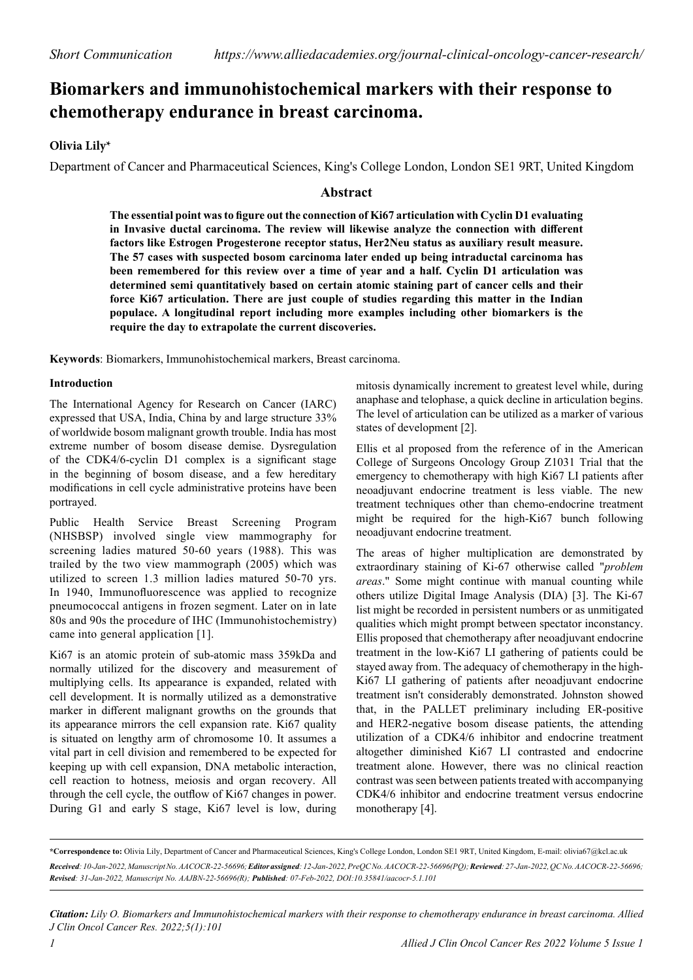# **Biomarkers and immunohistochemical markers with their response to chemotherapy endurance in breast carcinoma.**

## **Olivia Lily\***

Department of Cancer and Pharmaceutical Sciences, King's College London, London SE1 9RT, United Kingdom

## **Abstract**

**The essential point was to figure out the connection of Ki67 articulation with Cyclin D1 evaluating in Invasive ductal carcinoma. The review will likewise analyze the connection with different factors like Estrogen Progesterone receptor status, Her2Neu status as auxiliary result measure. The 57 cases with suspected bosom carcinoma later ended up being intraductal carcinoma has been remembered for this review over a time of year and a half. Cyclin D1 articulation was determined semi quantitatively based on certain atomic staining part of cancer cells and their force Ki67 articulation. There are just couple of studies regarding this matter in the Indian populace. A longitudinal report including more examples including other biomarkers is the require the day to extrapolate the current discoveries.**

**Keywords**: Biomarkers, Immunohistochemical markers, Breast carcinoma.

#### **Introduction**

The International Agency for Research on Cancer (IARC) expressed that USA, India, China by and large structure 33% of worldwide bosom malignant growth trouble. India has most extreme number of bosom disease demise. Dysregulation of the CDK4/6-cyclin D1 complex is a significant stage in the beginning of bosom disease, and a few hereditary modifications in cell cycle administrative proteins have been portrayed.

Public Health Service Breast Screening Program (NHSBSP) involved single view mammography for screening ladies matured 50-60 years (1988). This was trailed by the two view mammograph (2005) which was utilized to screen 1.3 million ladies matured 50-70 yrs. In 1940, Immunofluorescence was applied to recognize pneumococcal antigens in frozen segment. Later on in late 80s and 90s the procedure of IHC (Immunohistochemistry) came into general application [1].

Ki67 is an atomic protein of sub-atomic mass 359kDa and normally utilized for the discovery and measurement of multiplying cells. Its appearance is expanded, related with cell development. It is normally utilized as a demonstrative marker in different malignant growths on the grounds that its appearance mirrors the cell expansion rate. Ki67 quality is situated on lengthy arm of chromosome 10. It assumes a vital part in cell division and remembered to be expected for keeping up with cell expansion, DNA metabolic interaction, cell reaction to hotness, meiosis and organ recovery. All through the cell cycle, the outflow of Ki67 changes in power. During G1 and early S stage, Ki67 level is low, during mitosis dynamically increment to greatest level while, during anaphase and telophase, a quick decline in articulation begins. The level of articulation can be utilized as a marker of various states of development [2].

Ellis et al proposed from the reference of in the American College of Surgeons Oncology Group Z1031 Trial that the emergency to chemotherapy with high Ki67 LI patients after neoadjuvant endocrine treatment is less viable. The new treatment techniques other than chemo-endocrine treatment might be required for the high-Ki67 bunch following neoadjuvant endocrine treatment.

The areas of higher multiplication are demonstrated by extraordinary staining of Ki-67 otherwise called "*problem areas*." Some might continue with manual counting while others utilize Digital Image Analysis (DIA) [3]. The Ki-67 list might be recorded in persistent numbers or as unmitigated qualities which might prompt between spectator inconstancy. Ellis proposed that chemotherapy after neoadjuvant endocrine treatment in the low-Ki67 LI gathering of patients could be stayed away from. The adequacy of chemotherapy in the high-Ki67 LI gathering of patients after neoadjuvant endocrine treatment isn't considerably demonstrated. Johnston showed that, in the PALLET preliminary including ER-positive and HER2-negative bosom disease patients, the attending utilization of a CDK4/6 inhibitor and endocrine treatment altogether diminished Ki67 LI contrasted and endocrine treatment alone. However, there was no clinical reaction contrast was seen between patients treated with accompanying CDK4/6 inhibitor and endocrine treatment versus endocrine monotherapy [4].

*Citation: Lily O. Biomarkers and Immunohistochemical markers with their response to chemotherapy endurance in breast carcinoma. Allied J Clin Oncol Cancer Res. 2022;5(1):101*

**<sup>\*</sup>Correspondence to:** Olivia Lily, Department of Cancer and Pharmaceutical Sciences, King's College London, London SE1 9RT, United Kingdom, E-mail: [olivia67@kcl.ac.uk](mailto:olivia67@kcl.ac.uk) *Received: 10-Jan-2022, Manuscript No. AACOCR-22-56696; Editor assigned: 12-Jan-2022, PreQC No. AACOCR-22-56696(PQ); Reviewed: 27-Jan-2022, QC No. AACOCR-22-56696; Revised: 31-Jan-2022, Manuscript No. AAJBN-22-56696(R); Published: 07-Feb-2022, DOI:10.35841/aacocr-5.1.101*